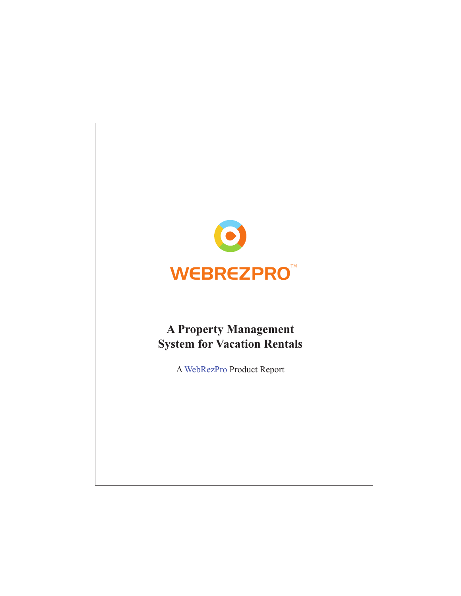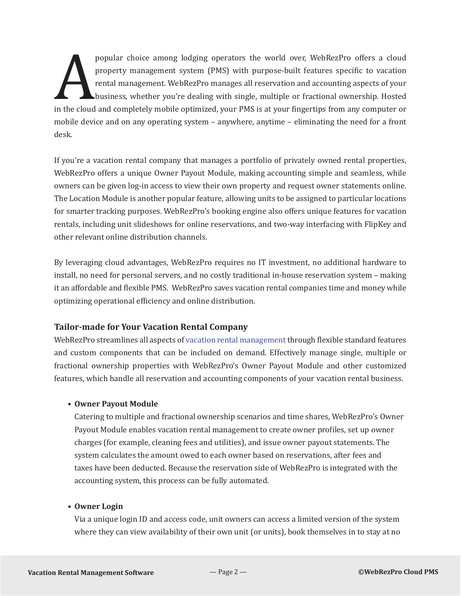popular choice among lodging operators the world over, WebRezPro offers a cloud<br>property management system (PMS) with purpose-built features specific to vacation<br>rental management. WebRezPro manages all reservation and acc property management system (PMS) with purpose-built features specific to vacation rental management. WebRezPro manages all reservation and accounting aspects of your business, whether you're dealing with single, multiple or fractional ownership. Hosted in the cloud and completely mobile optimized, your PMS is at your fingertips from any computer or mobile device and on any operating system – anywhere, anytime – eliminating the need for a front desk.

If you're a vacation rental company that manages a portfolio of privately owned rental properties, WebRezPro offers a unique Owner Payout Module, making accounting simple and seamless, while owners can be given log-in access to view their own property and request owner statements online. The Location Module is another popular feature, allowing units to be assigned to particular locations for smarter tracking purposes. WebRezPro's booking engine also offers unique features for vacation rentals, including unit slideshows for online reservations, and two-way interfacing with FlipKey and other relevant online distribution channels.

By leveraging cloud advantages, WebRezPro requires no IT investment, no additional hardware to install, no need for personal servers, and no costly traditional in-house reservation system – making it an affordable and flexible PMS. WebRezPro saves vacation rental companies time and money while optimizing operational efficiency and online distribution.

# **Tailor-made for Your Vacation Rental Company**

WebRezPro streamlines all aspects of [vacation rental management](http://www.webrezpro.com/vacation-rental-pms/) through flexible standard features and custom components that can be included on demand. Effectively manage single, multiple or fractional ownership properties with WebRezPro's Owner Payout Module and other customized features, which handle all reservation and accounting components of your vacation rental business.

### **• Owner Payout Module**

Catering to multiple and fractional ownership scenarios and time shares, WebRezPro's Owner Payout Module enables vacation rental management to create owner profiles, set up owner charges (for example, cleaning fees and utilities), and issue owner payout statements. The system calculates the amount owed to each owner based on reservations, after fees and taxes have been deducted. Because the reservation side of WebRezPro is integrated with the accounting system, this process can be fully automated.

### **• Owner Login**

Via a unique login ID and access code, unit owners can access a limited version of the system where they can view availability of their own unit (or units), book themselves in to stay at no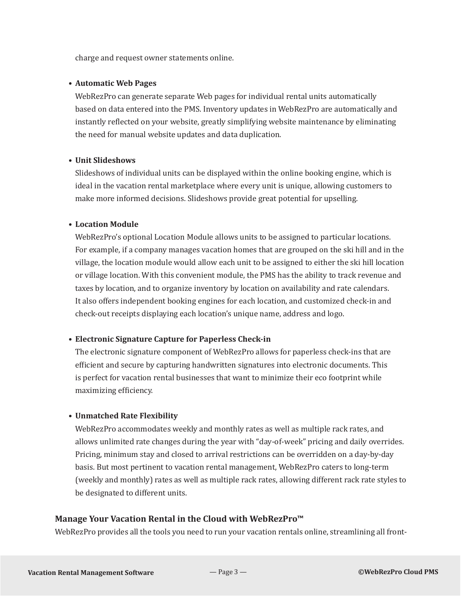charge and request owner statements online.

#### **• Automatic Web Pages**

WebRezPro can generate separate Web pages for individual rental units automatically based on data entered into the PMS. Inventory updates in WebRezPro are automatically and instantly reflected on your website, greatly simplifying website maintenance by eliminating the need for manual website updates and data duplication.

#### **• Unit Slideshows**

Slideshows of individual units can be displayed within the online booking engine, which is ideal in the vacation rental marketplace where every unit is unique, allowing customers to make more informed decisions. Slideshows provide great potential for upselling.

### **• Location Module**

WebRezPro's optional Location Module allows units to be assigned to particular locations. For example, if a company manages vacation homes that are grouped on the ski hill and in the village, the location module would allow each unit to be assigned to either the ski hill location or village location. With this convenient module, the PMS has the ability to track revenue and taxes by location, and to organize inventory by location on availability and rate calendars. It also offers independent booking engines for each location, and customized check-in and check-out receipts displaying each location's unique name, address and logo.

### **• Electronic Signature Capture for Paperless Check-in**

The electronic signature component of WebRezPro allows for paperless check-ins that are efficient and secure by capturing handwritten signatures into electronic documents. This is perfect for vacation rental businesses that want to minimize their eco footprint while maximizing efficiency.

### **• Unmatched Rate Flexibility**

WebRezPro accommodates weekly and monthly rates as well as multiple rack rates, and allows unlimited rate changes during the year with "day-of-week" pricing and daily overrides. Pricing, minimum stay and closed to arrival restrictions can be overridden on a day-by-day basis. But most pertinent to vacation rental management, WebRezPro caters to long-term (weekly and monthly) rates as well as multiple rack rates, allowing different rack rate styles to be designated to different units.

### **Manage Your Vacation Rental in the Cloud with WebRezPro™**

WebRezPro provides all the tools you need to run your vacation rentals online, streamlining all front-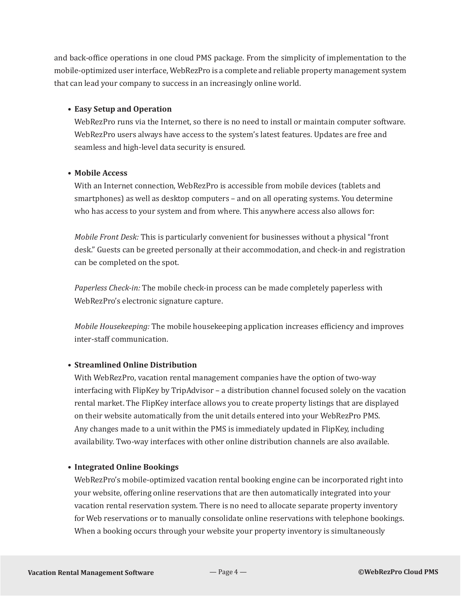and back-office operations in one cloud PMS package. From the simplicity of implementation to the mobile-optimized user interface, WebRezPro is a complete and reliable property management system that can lead your company to success in an increasingly online world.

### **• Easy Setup and Operation**

WebRezPro runs via the Internet, so there is no need to install or maintain computer software. WebRezPro users always have access to the system's latest features. Updates are free and seamless and high-level data security is ensured.

#### **• Mobile Access**

With an Internet connection, WebRezPro is accessible from mobile devices (tablets and smartphones) as well as desktop computers – and on all operating systems. You determine who has access to your system and from where. This anywhere access also allows for:

*Mobile Front Desk:* This is particularly convenient for businesses without a physical "front desk." Guests can be greeted personally at their accommodation, and check-in and registration can be completed on the spot.

*Paperless Check-in:* The mobile check-in process can be made completely paperless with WebRezPro's electronic signature capture.

*Mobile Housekeeping:* The mobile housekeeping application increases efficiency and improves inter-staff communication.

### **• Streamlined Online Distribution**

With WebRezPro, vacation rental management companies have the option of two-way interfacing with FlipKey by TripAdvisor – a distribution channel focused solely on the vacation rental market. The FlipKey interface allows you to create property listings that are displayed on their website automatically from the unit details entered into your WebRezPro PMS. Any changes made to a unit within the PMS is immediately updated in FlipKey, including availability. Two-way interfaces with other online distribution channels are also available.

#### **• Integrated Online Bookings**

WebRezPro's mobile-optimized vacation rental booking engine can be incorporated right into your website, offering online reservations that are then automatically integrated into your vacation rental reservation system. There is no need to allocate separate property inventory for Web reservations or to manually consolidate online reservations with telephone bookings. When a booking occurs through your website your property inventory is simultaneously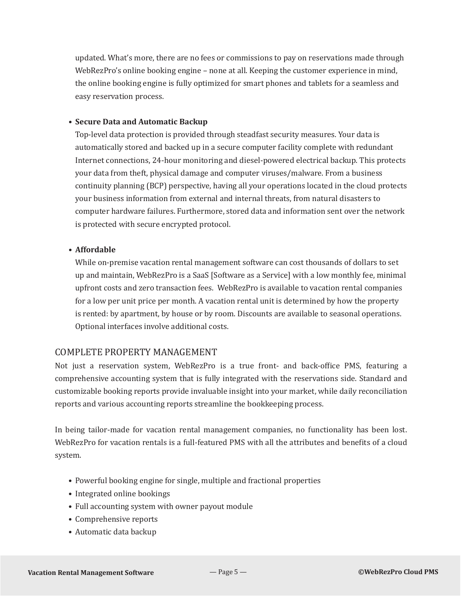updated. What's more, there are no fees or commissions to pay on reservations made through WebRezPro's online booking engine – none at all. Keeping the customer experience in mind, the online booking engine is fully optimized for smart phones and tablets for a seamless and easy reservation process.

### **• Secure Data and Automatic Backup**

Top-level data protection is provided through steadfast security measures. Your data is automatically stored and backed up in a secure computer facility complete with redundant Internet connections, 24-hour monitoring and diesel-powered electrical backup. This protects your data from theft, physical damage and computer viruses/malware. From a business continuity planning (BCP) perspective, having all your operations located in the cloud protects your business information from external and internal threats, from natural disasters to computer hardware failures. Furthermore, stored data and information sent over the network is protected with secure encrypted protocol.

#### **• Affordable**

While on-premise vacation rental management software can cost thousands of dollars to set up and maintain, WebRezPro is a SaaS [Software as a Service] with a low monthly fee, minimal upfront costs and zero transaction fees. WebRezPro is available to vacation rental companies for a low per unit price per month. A vacation rental unit is determined by how the property is rented: by apartment, by house or by room. Discounts are available to seasonal operations. Optional interfaces involve additional costs.

## COMPLETE PROPERTY MANAGEMENT

Not just a reservation system, WebRezPro is a true front- and back-office PMS, featuring a comprehensive accounting system that is fully integrated with the reservations side. Standard and customizable booking reports provide invaluable insight into your market, while daily reconciliation reports and various accounting reports streamline the bookkeeping process.

In being tailor-made for vacation rental management companies, no functionality has been lost. WebRezPro for vacation rentals is a full-featured PMS with all the attributes and benefits of a cloud system.

- Powerful booking engine for single, multiple and fractional properties
- Integrated online bookings
- Full accounting system with owner payout module
- Comprehensive reports
- Automatic data backup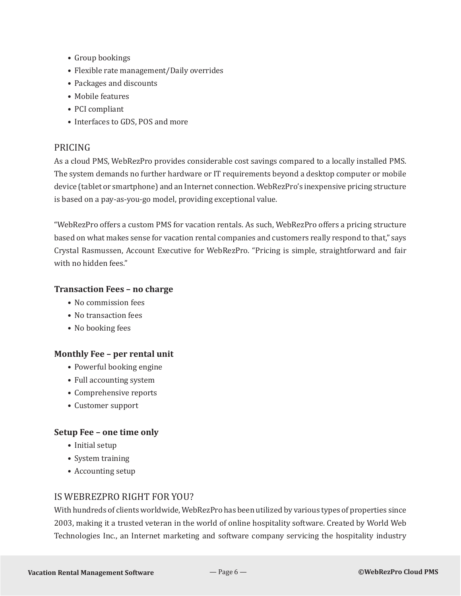- Group bookings
- Flexible rate management/Daily overrides
- Packages and discounts
- Mobile features
- PCI compliant
- Interfaces to GDS, POS and more

## PRICING

As a cloud PMS, WebRezPro provides considerable cost savings compared to a locally installed PMS. The system demands no further hardware or IT requirements beyond a desktop computer or mobile device (tablet or smartphone) and an Internet connection. WebRezPro's inexpensive pricing structure is based on a pay-as-you-go model, providing exceptional value.

"WebRezPro offers a custom PMS for vacation rentals. As such, WebRezPro offers a pricing structure based on what makes sense for vacation rental companies and customers really respond to that," says Crystal Rasmussen, Account Executive for WebRezPro. "Pricing is simple, straightforward and fair with no hidden fees."

### **Transaction Fees – no charge**

- No commission fees
- No transaction fees
- No booking fees

## **Monthly Fee – per rental unit**

- Powerful booking engine
- Full accounting system
- Comprehensive reports
- Customer support

## **Setup Fee – one time only**

- Initial setup
- System training
- Accounting setup

## IS WEBREZPRO RIGHT FOR YOU?

With hundreds of clients worldwide, WebRezPro has been utilized by various types of properties since 2003, making it a trusted veteran in the world of online hospitality software. Created by World Web Technologies Inc., an Internet marketing and software company servicing the hospitality industry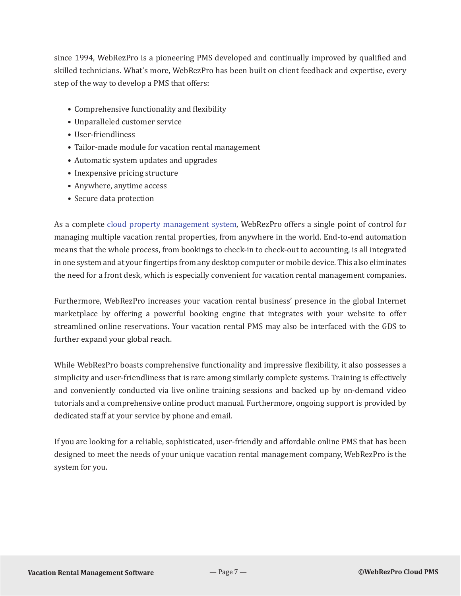since 1994, WebRezPro is a pioneering PMS developed and continually improved by qualified and skilled technicians. What's more, WebRezPro has been built on client feedback and expertise, every step of the way to develop a PMS that offers:

- Comprehensive functionality and flexibility
- Unparalleled customer service
- User-friendliness
- Tailor-made module for vacation rental management
- Automatic system updates and upgrades
- Inexpensive pricing structure
- Anywhere, anytime access
- Secure data protection

As a complete [cloud property management system,](http://www.webrezpro.com/) WebRezPro offers a single point of control for managing multiple vacation rental properties, from anywhere in the world. End-to-end automation means that the whole process, from bookings to check-in to check-out to accounting, is all integrated in one system and at your fingertips from any desktop computer or mobile device. This also eliminates the need for a front desk, which is especially convenient for vacation rental management companies.

Furthermore, WebRezPro increases your vacation rental business' presence in the global Internet marketplace by offering a powerful booking engine that integrates with your website to offer streamlined online reservations. Your vacation rental PMS may also be interfaced with the GDS to further expand your global reach.

While WebRezPro boasts comprehensive functionality and impressive flexibility, it also possesses a simplicity and user-friendliness that is rare among similarly complete systems. Training is effectively and conveniently conducted via live online training sessions and backed up by on-demand video tutorials and a comprehensive online product manual. Furthermore, ongoing support is provided by dedicated staff at your service by phone and email.

If you are looking for a reliable, sophisticated, user-friendly and affordable online PMS that has been designed to meet the needs of your unique vacation rental management company, WebRezPro is the system for you.